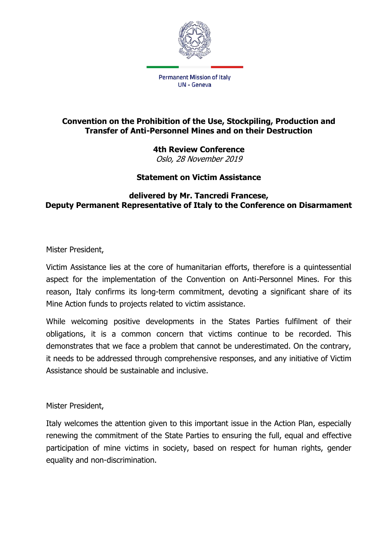

## **Convention on the Prohibition of the Use, Stockpiling, Production and Transfer of Anti-Personnel Mines and on their Destruction**

**4th Review Conference** Oslo, 28 November 2019

## **Statement on Victim Assistance**

## **delivered by Mr. Tancredi Francese, Deputy Permanent Representative of Italy to the Conference on Disarmament**

Mister President,

Victim Assistance lies at the core of humanitarian efforts, therefore is a quintessential aspect for the implementation of the Convention on Anti-Personnel Mines. For this reason, Italy confirms its long-term commitment, devoting a significant share of its Mine Action funds to projects related to victim assistance.

While welcoming positive developments in the States Parties fulfilment of their obligations, it is a common concern that victims continue to be recorded. This demonstrates that we face a problem that cannot be underestimated. On the contrary, it needs to be addressed through comprehensive responses, and any initiative of Victim Assistance should be sustainable and inclusive.

Mister President,

Italy welcomes the attention given to this important issue in the Action Plan, especially renewing the commitment of the State Parties to ensuring the full, equal and effective participation of mine victims in society, based on respect for human rights, gender equality and non-discrimination.